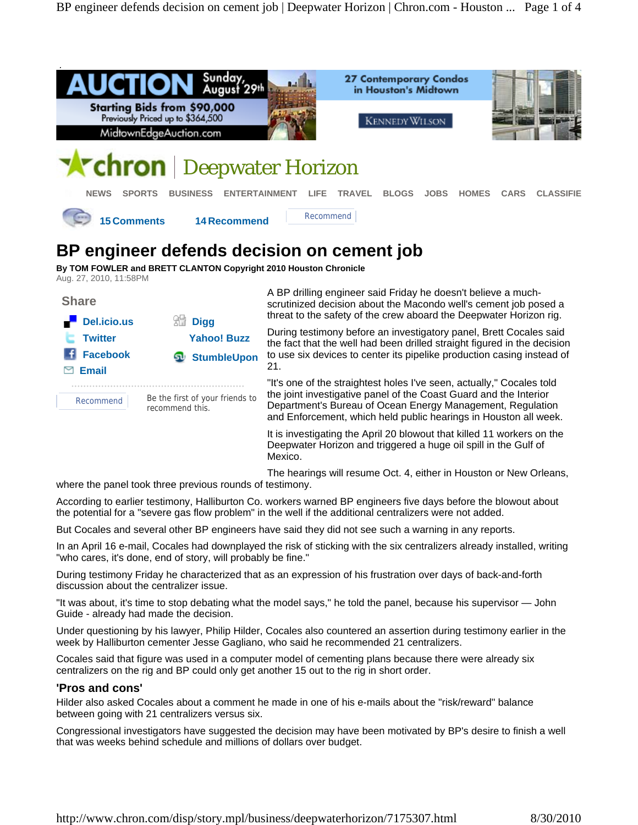



A BP drilling engineer said Friday he doesn't believe a muchscrutinized decision about the Macondo well's cement job posed a threat to the safety of the crew aboard the Deepwater Horizon rig.

During testimony before an investigatory panel, Brett Cocales said the fact that the well had been drilled straight figured in the decision to use six devices to center its pipelike production casing instead of 21.

"It's one of the straightest holes I've seen, actually," Cocales told the joint investigative panel of the Coast Guard and the Interior Department's Bureau of Ocean Energy Management, Regulation and Enforcement, which held public hearings in Houston all week.

It is investigating the April 20 blowout that killed 11 workers on the Deepwater Horizon and triggered a huge oil spill in the Gulf of Mexico.

The hearings will resume Oct. 4, either in Houston or New Orleans,

where the panel took three previous rounds of testimony.

According to earlier testimony, Halliburton Co. workers warned BP engineers five days before the blowout about the potential for a "severe gas flow problem" in the well if the additional centralizers were not added.

But Cocales and several other BP engineers have said they did not see such a warning in any reports.

In an April 16 e-mail, Cocales had downplayed the risk of sticking with the six centralizers already installed, writing "who cares, it's done, end of story, will probably be fine."

During testimony Friday he characterized that as an expression of his frustration over days of back-and-forth discussion about the centralizer issue.

"It was about, it's time to stop debating what the model says," he told the panel, because his supervisor — John Guide - already had made the decision.

Under questioning by his lawyer, Philip Hilder, Cocales also countered an assertion during testimony earlier in the week by Halliburton cementer Jesse Gagliano, who said he recommended 21 centralizers.

Cocales said that figure was used in a computer model of cementing plans because there were already six centralizers on the rig and BP could only get another 15 out to the rig in short order.

## **'Pros and cons'**

Hilder also asked Cocales about a comment he made in one of his e-mails about the "risk/reward" balance between going with 21 centralizers versus six.

Congressional investigators have suggested the decision may have been motivated by BP's desire to finish a well that was weeks behind schedule and millions of dollars over budget.